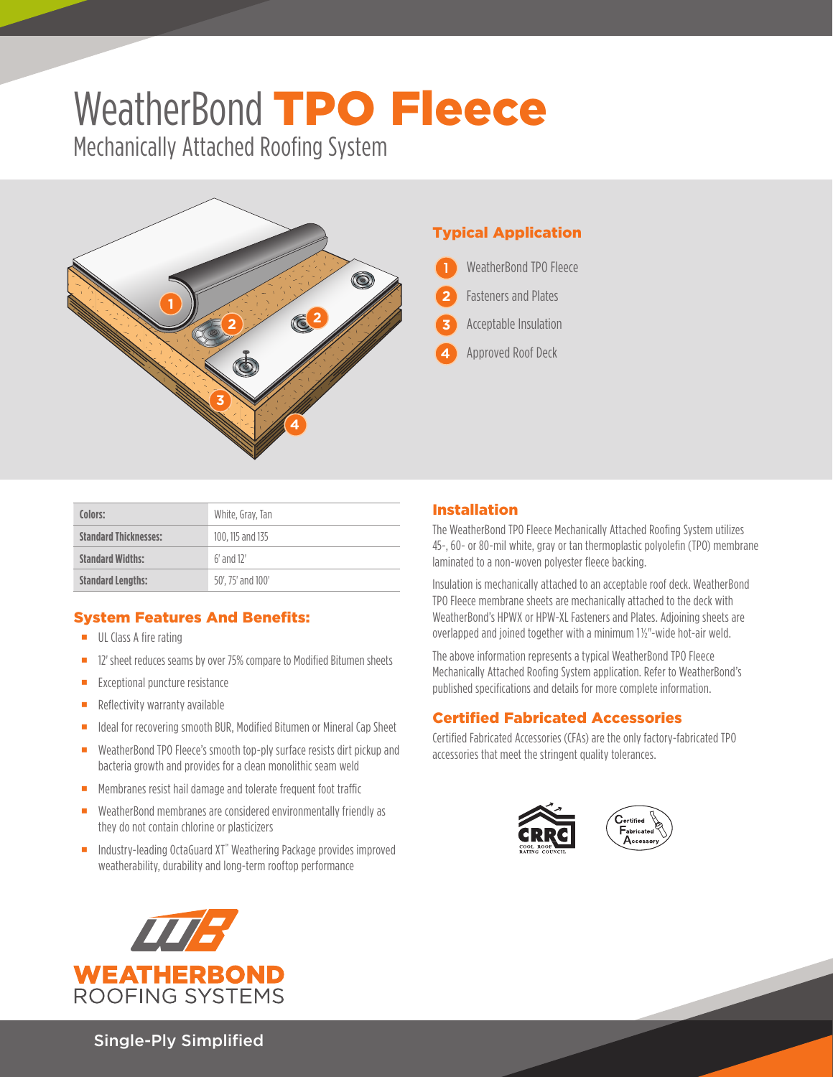# WeatherBond TPO Fleece

Mechanically Attached Roofing System



## Typical Application

- WeatherBond TPO Fleece 1
- Fasteners and Plates **2**
- Acceptable Insulation **3**
- Approved Roof Deck **4**

| Colors:                      | White, Gray, Tan  |
|------------------------------|-------------------|
| <b>Standard Thicknesses:</b> | 100, 115 and 135  |
| <b>Standard Widths:</b>      | $6'$ and $12'$    |
| <b>Standard Lengths:</b>     | 50', 75' and 100' |

## System Features And Benefits:

- **UL Class A fire rating**
- <sup>12'</sup> sheet reduces seams by over 75% compare to Modified Bitumen sheets
- **Exceptional puncture resistance**
- Reflectivity warranty available
- In Ideal for recovering smooth BUR, Modified Bitumen or Mineral Cap Sheet
- WeatherBond TPO Fleece's smooth top-ply surface resists dirt pickup and bacteria growth and provides for a clean monolithic seam weld
- **Membranes resist hail damage and tolerate frequent foot traffic**
- WeatherBond membranes are considered environmentally friendly as they do not contain chlorine or plasticizers
- Industry-leading OctaGuard XT<sup>™</sup> Weathering Package provides improved weatherability, durability and long-term rooftop performance



## Installation

The WeatherBond TPO Fleece Mechanically Attached Roofing System utilizes 45-, 60- or 80-mil white, gray or tan thermoplastic polyolefin (TPO) membrane laminated to a non-woven polyester fleece backing.

Insulation is mechanically attached to an acceptable roof deck. WeatherBond TPO Fleece membrane sheets are mechanically attached to the deck with WeatherBond's HPWX or HPW-XL Fasteners and Plates. Adjoining sheets are overlapped and joined together with a minimum 1½"-wide hot-air weld.

The above information represents a typical WeatherBond TPO Fleece Mechanically Attached Roofing System application. Refer to WeatherBond's published specifications and details for more complete information.

### Certified Fabricated Accessories

Certified Fabricated Accessories (CFAs) are the only factory-fabricated TPO accessories that meet the stringent quality tolerances.